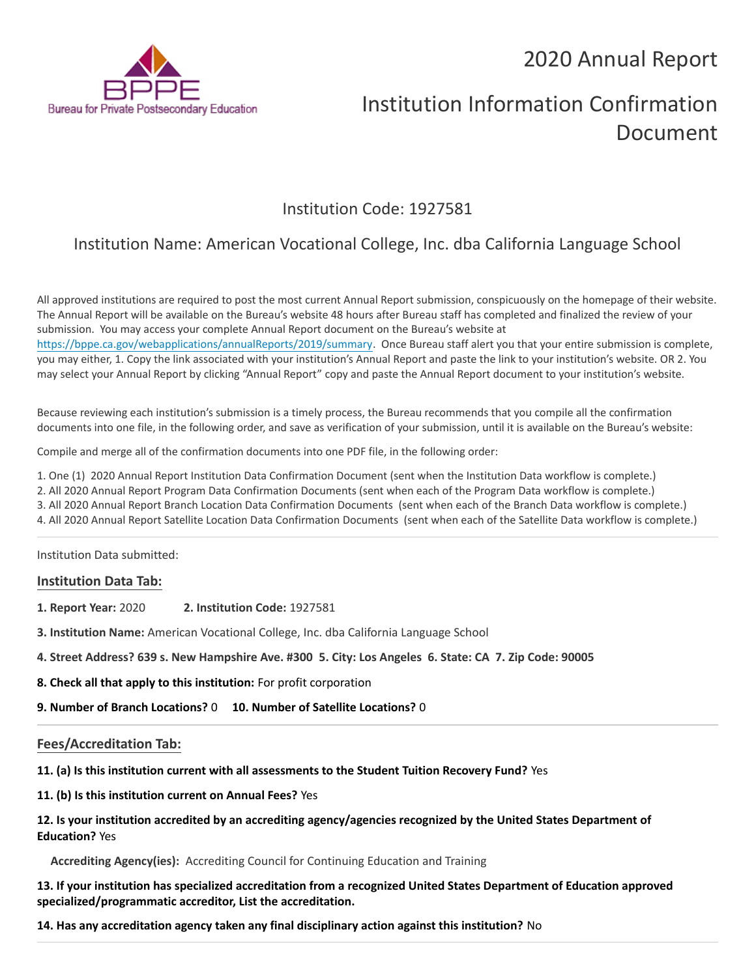# 2020 Annual Report



# Institution Information Confirmation Document

## Institution Code: 1927581

# Institution Name: American Vocational College, Inc. dba California Language School

All approved institutions are required to post the most current Annual Report submission, conspicuously on the homepage of their website. The Annual Report will be available on the Bureau's website 48 hours after Bureau staff has completed and finalized the review of your submission. You may access your complete Annual Report document on the Bureau's website at <https://bppe.ca.gov/webapplications/annualReports/2019/summary>. Once Bureau staff alert you that your entire submission is complete, you may either, 1. Copy the link associated with your institution's Annual Report and paste the link to your institution's website. OR 2. You may select your Annual Report by clicking "Annual Report" copy and paste the Annual Report document to your institution's website.

Because reviewing each institution's submission is a timely process, the Bureau recommends that you compile all the confirmation documents into one file, in the following order, and save as verification of your submission, until it is available on the Bureau's website:

Compile and merge all of the confirmation documents into one PDF file, in the following order:

- 1. One (1) 2020 Annual Report Institution Data Confirmation Document (sent when the Institution Data workflow is complete.)
- 2. All 2020 Annual Report Program Data Confirmation Documents (sent when each of the Program Data workflow is complete.)
- 3. All 2020 Annual Report Branch Location Data Confirmation Documents (sent when each of the Branch Data workflow is complete.)
- 4. All 2020 Annual Report Satellite Location Data Confirmation Documents (sent when each of the Satellite Data workflow is complete.)

Institution Data submitted:

#### **Institution Data Tab:**

- **1. Report Year:** 2020 **2. Institution Code:** 1927581
- **3. Institution Name:** American Vocational College, Inc. dba California Language School
- **4. Street Address? 639 s. New Hampshire Ave. #300 5. City: Los Angeles 6. State: CA 7. Zip Code: 90005**
- **8. Check all that apply to this institution:** For profit corporation

**9. Number of Branch Locations?** 0 **10. Number of Satellite Locations?** 0

#### **Fees/Accreditation Tab:**

**11. (a) Is this institution current with all assessments to the Student Tuition Recovery Fund?** Yes

**11. (b) Is this institution current on Annual Fees?** Yes

#### **12. Is your institution accredited by an accrediting agency/agencies recognized by the United States Department of Education?** Yes

**Accrediting Agency(ies):** Accrediting Council for Continuing Education and Training

**13. If your institution has specialized accreditation from a recognized United States Department of Education approved specialized/programmatic accreditor, List the accreditation.**

**14. Has any accreditation agency taken any final disciplinary action against this institution?** No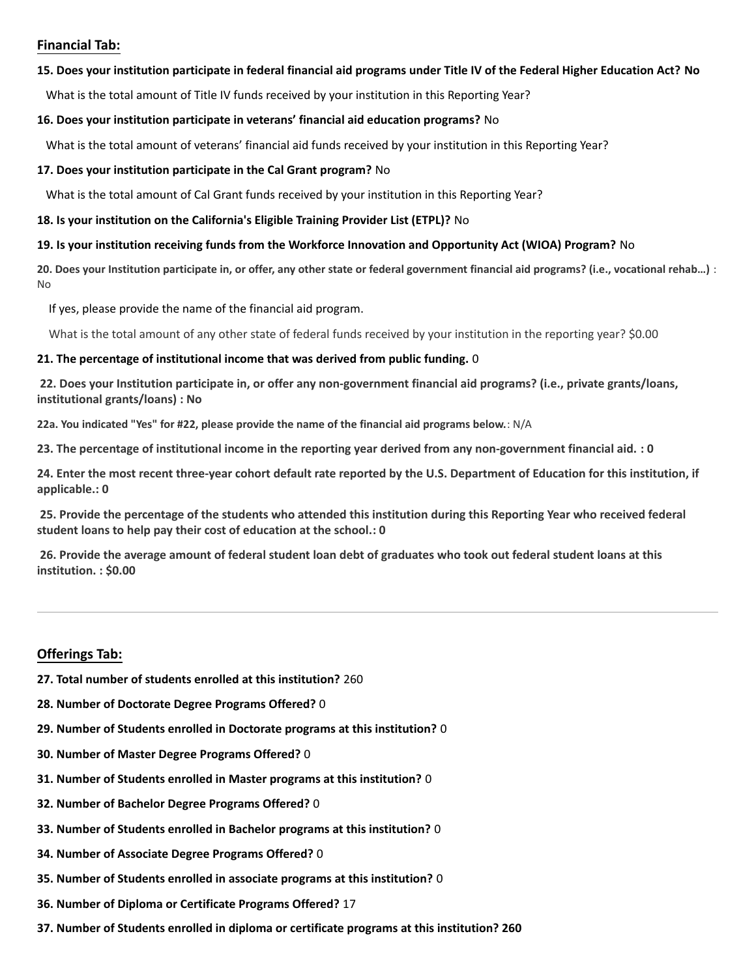### **Financial Tab:**

#### **15. Does your institution participate in federal financial aid programs under Title IV of the Federal Higher Education Act? No**

What is the total amount of Title IV funds received by your institution in this Reporting Year?

#### **16. Does your institution participate in veterans' financial aid education programs?** No

What is the total amount of veterans' financial aid funds received by your institution in this Reporting Year?

#### **17. Does your institution participate in the Cal Grant program?** No

What is the total amount of Cal Grant funds received by your institution in this Reporting Year?

#### **18. Is your institution on the California's Eligible Training Provider List (ETPL)?** No

#### **19. Is your institution receiving funds from the Workforce Innovation and Opportunity Act (WIOA) Program?** No

**20. Does your Institution participate in, or offer, any other state or federal government financial aid programs? (i.e., vocational rehab…)** : No

If yes, please provide the name of the financial aid program.

What is the total amount of any other state of federal funds received by your institution in the reporting year? \$0.00

#### **21. The percentage of institutional income that was derived from public funding.** 0

**22. Does your Institution participate in, or offer any non-government financial aid programs? (i.e., private grants/loans, institutional grants/loans) : No**

**22a. You indicated "Yes" for #22, please provide the name of the financial aid programs below.**: N/A

**23. The percentage of institutional income in the reporting year derived from any non-government financial aid. : 0**

**24. Enter the most recent three-year cohort default rate reported by the U.S. Department of Education for this institution, if applicable.: 0**

**25. Provide the percentage of the students who attended this institution during this Reporting Year who received federal student loans to help pay their cost of education at the school.: 0**

**26. Provide the average amount of federal student loan debt of graduates who took out federal student loans at this institution. : \$0.00**

## **Offerings Tab:**

- **27. Total number of students enrolled at this institution?** 260
- **28. Number of Doctorate Degree Programs Offered?** 0
- **29. Number of Students enrolled in Doctorate programs at this institution?** 0
- **30. Number of Master Degree Programs Offered?** 0
- **31. Number of Students enrolled in Master programs at this institution?** 0
- **32. Number of Bachelor Degree Programs Offered?** 0
- **33. Number of Students enrolled in Bachelor programs at this institution?** 0
- **34. Number of Associate Degree Programs Offered?** 0
- **35. Number of Students enrolled in associate programs at this institution?** 0
- **36. Number of Diploma or Certificate Programs Offered?** 17
- **37. Number of Students enrolled in diploma or certificate programs at this institution? 260**